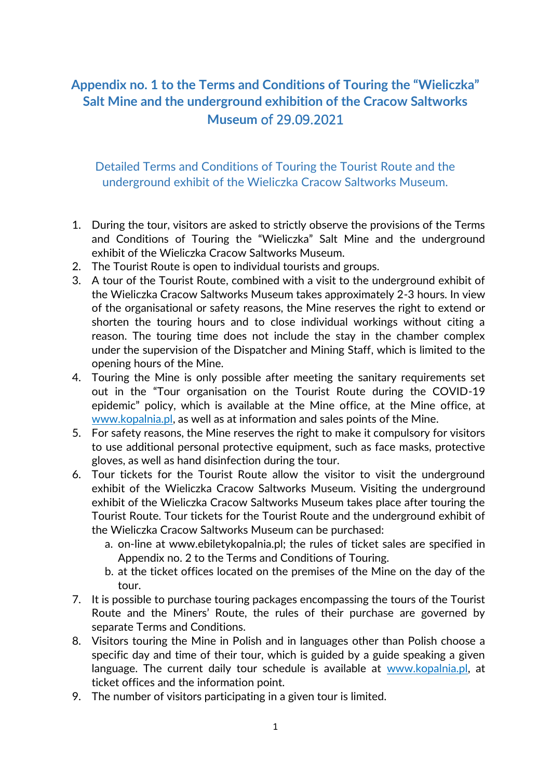## **Appendix no. 1 to the Terms and Conditions of Touring the "Wieliczka" Salt Mine and the underground exhibition of the Cracow Saltworks Museum** of 29.09.2021

Detailed Terms and Conditions of Touring the Tourist Route and the underground exhibit of the Wieliczka Cracow Saltworks Museum.

- 1. During the tour, visitors are asked to strictly observe the provisions of the Terms and Conditions of Touring the "Wieliczka" Salt Mine and the underground exhibit of the Wieliczka Cracow Saltworks Museum.
- 2. The Tourist Route is open to individual tourists and groups.
- 3. A tour of the Tourist Route, combined with a visit to the underground exhibit of the Wieliczka Cracow Saltworks Museum takes approximately 2-3 hours. In view of the organisational or safety reasons, the Mine reserves the right to extend or shorten the touring hours and to close individual workings without citing a reason. The touring time does not include the stay in the chamber complex under the supervision of the Dispatcher and Mining Staff, which is limited to the opening hours of the Mine.
- 4. Touring the Mine is only possible after meeting the sanitary requirements set out in the "Tour organisation on the Tourist Route during the COVID-19 epidemic" policy, which is available at the Mine office, at the Mine office, at [www.kopalnia.pl,](http://www.kopalnia.pl/) as well as at information and sales points of the Mine.
- 5. For safety reasons, the Mine reserves the right to make it compulsory for visitors to use additional personal protective equipment, such as face masks, protective gloves, as well as hand disinfection during the tour.
- 6. Tour tickets for the Tourist Route allow the visitor to visit the underground exhibit of the Wieliczka Cracow Saltworks Museum. Visiting the underground exhibit of the Wieliczka Cracow Saltworks Museum takes place after touring the Tourist Route. Tour tickets for the Tourist Route and the underground exhibit of the Wieliczka Cracow Saltworks Museum can be purchased:
	- a. on-line at www.ebiletykopalnia.pl; the rules of ticket sales are specified in Appendix no. 2 to the Terms and Conditions of Touring.
	- b. at the ticket offices located on the premises of the Mine on the day of the tour.
- 7. It is possible to purchase touring packages encompassing the tours of the Tourist Route and the Miners' Route, the rules of their purchase are governed by separate Terms and Conditions.
- 8. Visitors touring the Mine in Polish and in languages other than Polish choose a specific day and time of their tour, which is guided by a guide speaking a given language. The current daily tour schedule is available at [www.kopalnia.pl,](http://www.kopalnia.pl/) at ticket offices and the information point.
- 9. The number of visitors participating in a given tour is limited.